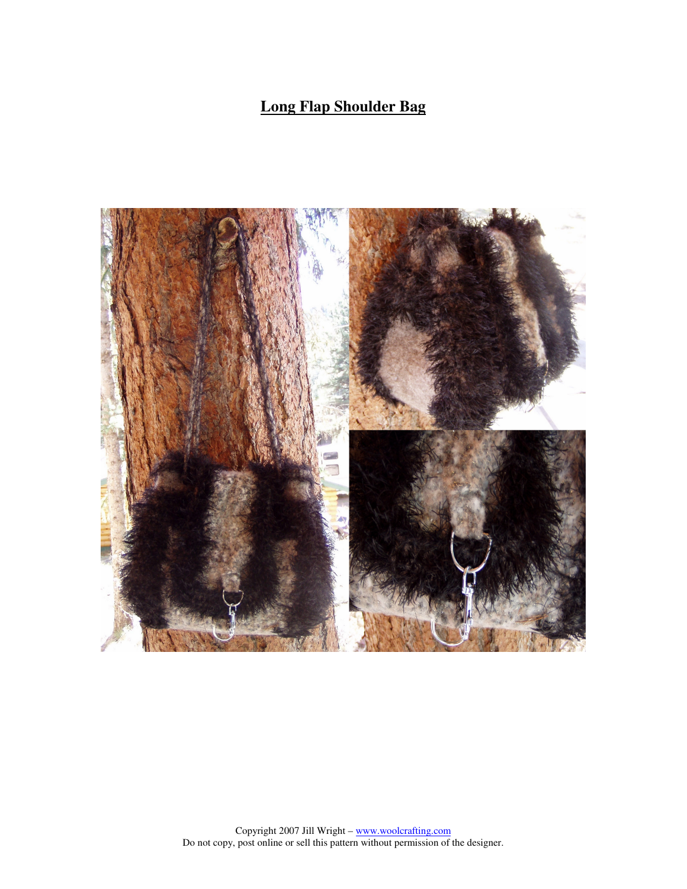# **Long Flap Shoulder Bag**

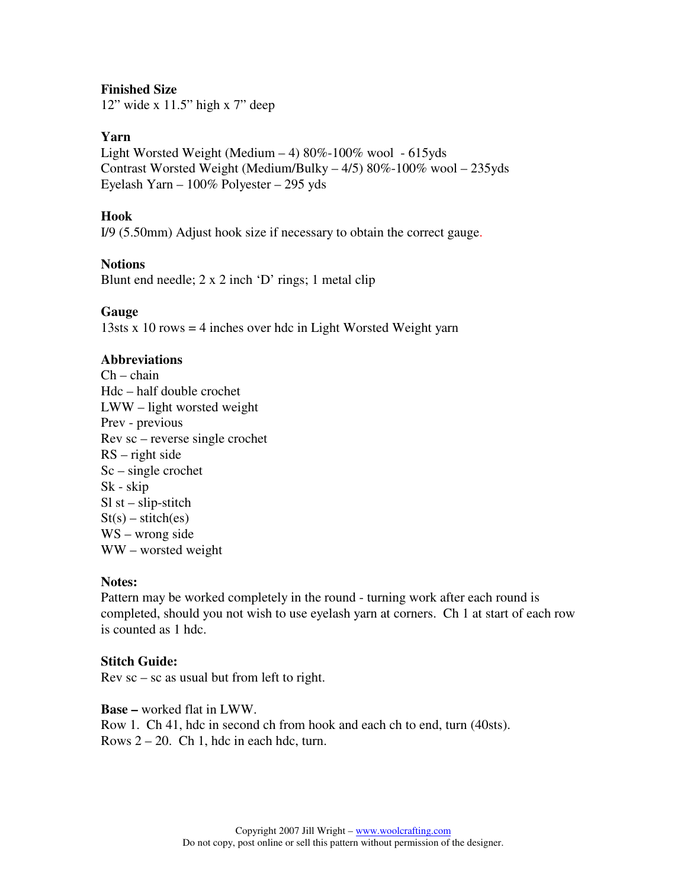## **Finished Size**

12" wide x 11.5" high x 7" deep

### **Yarn**

Light Worsted Weight (Medium  $-4$ ) 80%-100% wool - 615yds Contrast Worsted Weight (Medium/Bulky – 4/5) 80%-100% wool – 235yds Eyelash Yarn – 100% Polyester – 295 yds

### **Hook**

I/9 (5.50mm) Adjust hook size if necessary to obtain the correct gauge.

#### **Notions**

Blunt end needle; 2 x 2 inch 'D' rings; 1 metal clip

#### **Gauge**

13sts x 10 rows = 4 inches over hdc in Light Worsted Weight yarn

### **Abbreviations**

 $Ch - chain$ Hdc – half double crochet LWW – light worsted weight Prev - previous Rev sc – reverse single crochet RS – right side Sc – single crochet Sk - skip  $SI$  st – slip-stitch  $St(s) - stitch(es)$ WS – wrong side WW – worsted weight

#### **Notes:**

Pattern may be worked completely in the round - turning work after each round is completed, should you not wish to use eyelash yarn at corners. Ch 1 at start of each row is counted as 1 hdc.

### **Stitch Guide:**

 $Rev sc - sc$  as usual but from left to right.

**Base –** worked flat in LWW. Row 1. Ch 41, hdc in second ch from hook and each ch to end, turn (40sts). Rows  $2 - 20$ . Ch 1, hdc in each hdc, turn.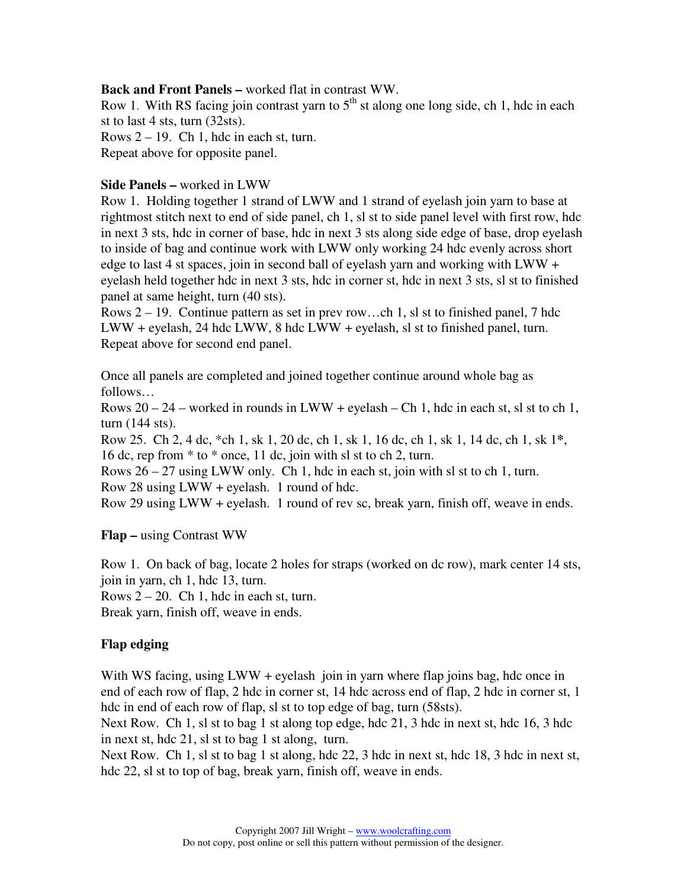## **Back and Front Panels –** worked flat in contrast WW.

Row 1. With RS facing join contrast yarn to  $5<sup>th</sup>$  st along one long side, ch 1, hdc in each st to last 4 sts, turn (32sts).

Rows  $2 - 19$ . Ch 1, hdc in each st, turn.

Repeat above for opposite panel.

## **Side Panels –** worked in LWW

Row 1. Holding together 1 strand of LWW and 1 strand of eyelash join yarn to base at rightmost stitch next to end of side panel, ch 1, sl st to side panel level with first row, hdc in next 3 sts, hdc in corner of base, hdc in next 3 sts along side edge of base, drop eyelash to inside of bag and continue work with LWW only working 24 hdc evenly across short edge to last 4 st spaces, join in second ball of eyelash yarn and working with  $LWW +$ eyelash held together hdc in next 3 sts, hdc in corner st, hdc in next 3 sts, sl st to finished panel at same height, turn (40 sts).

Rows 2 – 19. Continue pattern as set in prev row…ch 1, sl st to finished panel, 7 hdc LWW + eyelash, 24 hdc LWW, 8 hdc LWW + eyelash, sl st to finished panel, turn. Repeat above for second end panel.

Once all panels are completed and joined together continue around whole bag as follows…

Rows  $20 - 24$  – worked in rounds in LWW + eyelash – Ch 1, hdc in each st, sl st to ch 1, turn (144 sts).

Row 25. Ch 2, 4 dc, \*ch 1, sk 1, 20 dc, ch 1, sk 1, 16 dc, ch 1, sk 1, 14 dc, ch 1, sk 1**\***, 16 dc, rep from \* to \* once, 11 dc, join with sl st to ch 2, turn.

Rows  $26 - 27$  using LWW only. Ch 1, hdc in each st, join with sl st to ch 1, turn. Row 28 using LWW + eyelash. 1 round of hdc.

Row 29 using LWW + eyelash. 1 round of rev sc, break yarn, finish off, weave in ends.

**Flap –** using Contrast WW

Row 1. On back of bag, locate 2 holes for straps (worked on dc row), mark center 14 sts, join in yarn, ch 1, hdc 13, turn.

Rows  $2 - 20$ . Ch 1, hdc in each st, turn.

Break yarn, finish off, weave in ends.

## **Flap edging**

With WS facing, using LWW + eyelash join in yarn where flap joins bag, hdc once in end of each row of flap, 2 hdc in corner st, 14 hdc across end of flap, 2 hdc in corner st, 1 hdc in end of each row of flap, sl st to top edge of bag, turn (58sts).

Next Row. Ch 1, sl st to bag 1 st along top edge, hdc 21, 3 hdc in next st, hdc 16, 3 hdc in next st, hdc 21, sl st to bag 1 st along, turn.

Next Row. Ch 1, sl st to bag 1 st along, hdc 22, 3 hdc in next st, hdc 18, 3 hdc in next st, hdc 22, sl st to top of bag, break yarn, finish off, weave in ends.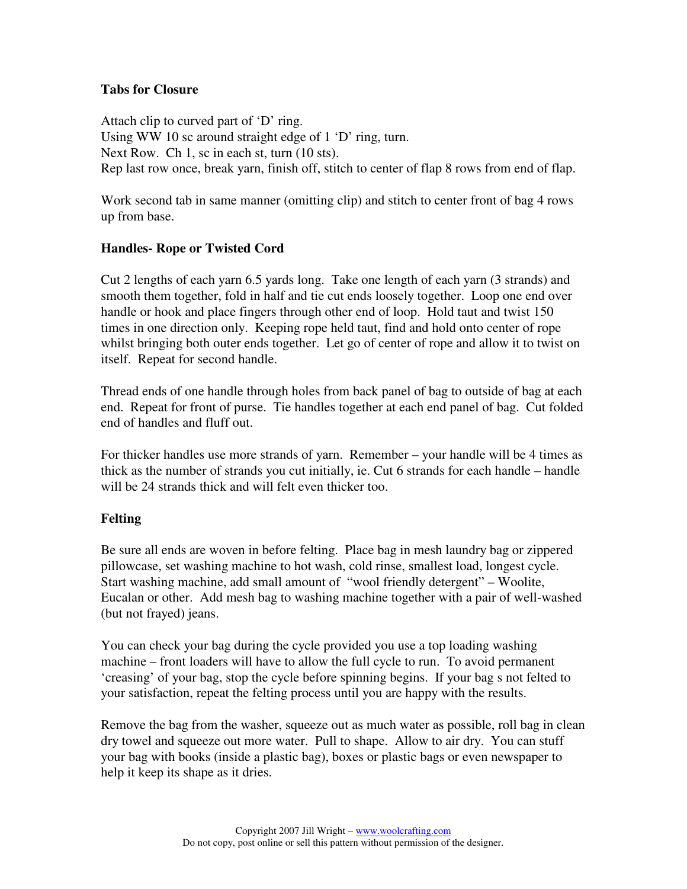## **Tabs for Closure**

Attach clip to curved part of 'D' ring. Using WW 10 sc around straight edge of 1 'D' ring, turn. Next Row. Ch 1, sc in each st, turn (10 sts). Rep last row once, break yarn, finish off, stitch to center of flap 8 rows from end of flap.

Work second tab in same manner (omitting clip) and stitch to center front of bag 4 rows up from base.

# **Handles- Rope or Twisted Cord**

Cut 2 lengths of each yarn 6.5 yards long. Take one length of each yarn (3 strands) and smooth them together, fold in half and tie cut ends loosely together. Loop one end over handle or hook and place fingers through other end of loop. Hold taut and twist 150 times in one direction only. Keeping rope held taut, find and hold onto center of rope whilst bringing both outer ends together. Let go of center of rope and allow it to twist on itself. Repeat for second handle.

Thread ends of one handle through holes from back panel of bag to outside of bag at each end. Repeat for front of purse. Tie handles together at each end panel of bag. Cut folded end of handles and fluff out.

For thicker handles use more strands of yarn. Remember – your handle will be 4 times as thick as the number of strands you cut initially, ie. Cut 6 strands for each handle – handle will be 24 strands thick and will felt even thicker too.

# **Felting**

Be sure all ends are woven in before felting. Place bag in mesh laundry bag or zippered pillowcase, set washing machine to hot wash, cold rinse, smallest load, longest cycle. Start washing machine, add small amount of "wool friendly detergent" – Woolite, Eucalan or other. Add mesh bag to washing machine together with a pair of well-washed (but not frayed) jeans.

You can check your bag during the cycle provided you use a top loading washing machine – front loaders will have to allow the full cycle to run. To avoid permanent 'creasing' of your bag, stop the cycle before spinning begins. If your bag s not felted to your satisfaction, repeat the felting process until you are happy with the results.

Remove the bag from the washer, squeeze out as much water as possible, roll bag in clean dry towel and squeeze out more water. Pull to shape. Allow to air dry. You can stuff your bag with books (inside a plastic bag), boxes or plastic bags or even newspaper to help it keep its shape as it dries.